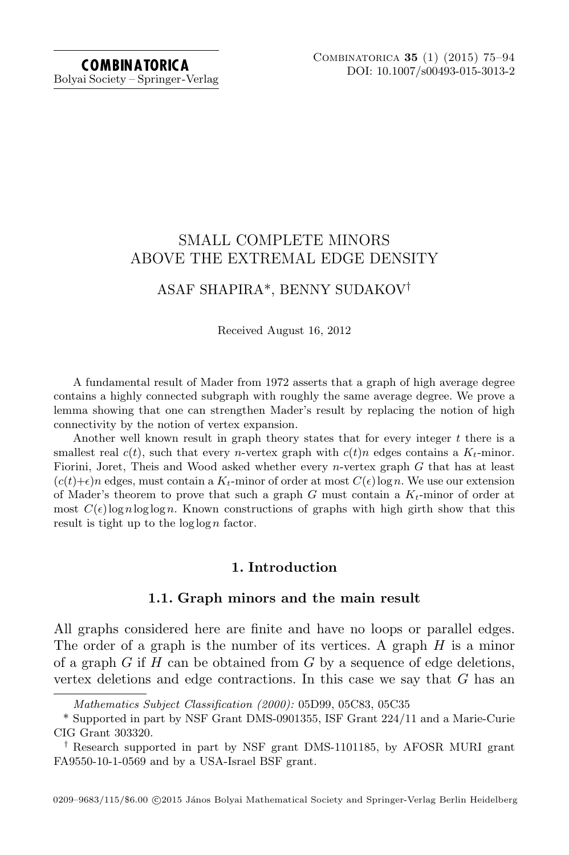Bolyai Society – Springer-Verlag

## SMALL COMPLETE MINORS ABOVE THE EXTREMAL EDGE DENSITY

# ASAF SHAPIRA\*, BENNY SUDAKOV†

Received August 16, 2012

A fundamental result of Mader from 1972 asserts that a graph of high average degree contains a highly connected subgraph with roughly the same average degree. We prove a lemma showing that one can strengthen Mader's result by replacing the notion of high connectivity by the notion of vertex expansion.

Another well known result in graph theory states that for every integer t there is a smallest real  $c(t)$ , such that every *n*-vertex graph with  $c(t)n$  edges contains a  $K_t$ -minor. Fiorini, Joret, Theis and Wood asked whether every  $n$ -vertex graph  $G$  that has at least  $(c(t)+\epsilon)n$  edges, must contain a  $K_t$ -minor of order at most  $C(\epsilon)\log n$ . We use our extension of Mader's theorem to prove that such a graph  $G$  must contain a  $K_t$ -minor of order at most  $C(\epsilon)$ lognloglogn. Known constructions of graphs with high girth show that this result is tight up to the  $\log \log n$  factor.

## 1. Introduction

## 1.1. Graph minors and the main result

<span id="page-0-0"></span>All graphs considered here are finite and have no loops or parallel edges. The order of a graph is the number of its vertices. A graph  $H$  is a minor of a graph  $G$  if  $H$  can be obtained from  $G$  by a sequence of edge deletions, vertex deletions and edge contractions. In this case we say that  $G$  has an

Mathematics Subject Classification (2000): 05D99, 05C83, 05C35

<sup>\*</sup> Supported in part by NSF Grant DMS-0901355, ISF Grant 224/11 and a Marie-Curie CIG Grant 303320.

<sup>†</sup> Research supported in part by NSF grant DMS-1101185, by AFOSR MURI grant FA9550-10-1-0569 and by a USA-Israel BSF grant.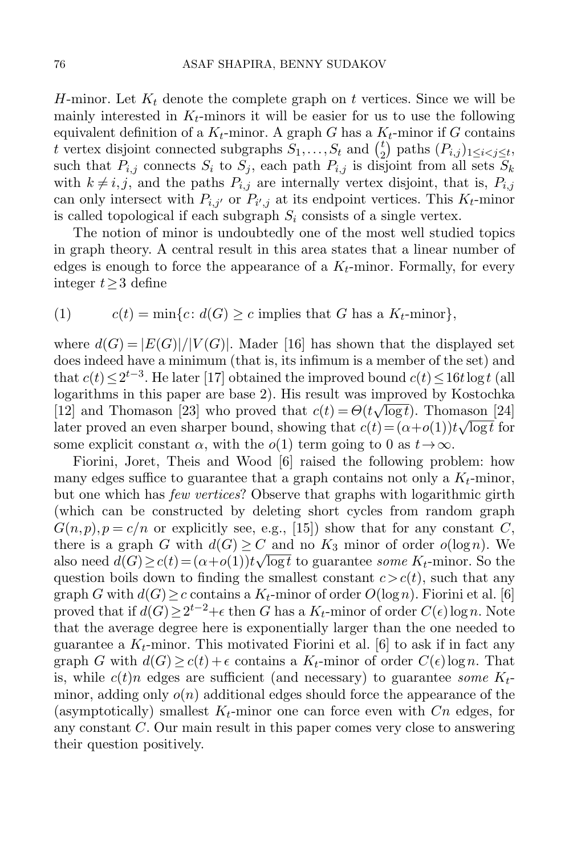H-minor. Let  $K_t$  denote the complete graph on t vertices. Since we will be mainly interested in  $K_t$ -minors it will be easier for us to use the following equivalent definition of a  $K_t$ -minor. A graph G has a  $K_t$ -minor if G contains t vertex disjoint connected subgraphs  $S_1, \ldots, S_t$  and  $\binom{t}{2}$  $\binom{t}{2}$  paths  $(P_{i,j})_{1 \leq i < j \leq t}$ , such that  $P_{i,j}$  connects  $S_i$  to  $S_j$ , each path  $P_{i,j}$  is disjoint from all sets  $S_k$ with  $k \neq i, j$ , and the paths  $P_{i,j}$  are internally vertex disjoint, that is,  $P_{i,j}$ can only intersect with  $P_{i,j'}$  or  $P_{i',j}$  at its endpoint vertices. This  $K_t$ -minor is called topological if each subgraph  $S_i$  consists of a single vertex.

The notion of minor is undoubtedly one of the most well studied topics in graph theory. A central result in this area states that a linear number of edges is enough to force the appearance of a  $K_t$ -minor. Formally, for every integer t≥3 define

<span id="page-1-1"></span>(1) 
$$
c(t) = \min\{c \colon d(G) \ge c \text{ implies that } G \text{ has a } K_t\text{-minor}\},
$$

where  $d(G) = |E(G)|/|V(G)|$ . Mader [\[16\]](#page-18-0) has shown that the displayed set does indeed have a minimum (that is, its infimum is a member of the set) and that  $c(t) \leq 2^{t-3}$ . He later [\[17\]](#page-18-1) obtained the improved bound  $c(t) \leq 16t \log t$  (all logarithms in this paper are base 2). His result was improved by Kostochka [\[12\]](#page-18-2) and Thomason [\[23\]](#page-18-3) who proved that  $c(t) = \Theta(t\sqrt{\log t})$ . Thomason [\[24\]](#page-18-4) later proved an even sharper bound, showing that  $c(t) = (\alpha + o(1))t\sqrt{\log t}$  for some explicit constant  $\alpha$ , with the  $o(1)$  term going to 0 as  $t\rightarrow\infty$ .

<span id="page-1-0"></span>Fiorini, Joret, Theis and Wood [\[6\]](#page-18-5) raised the following problem: how many edges suffice to guarantee that a graph contains not only a  $K_t$ -minor, but one which has few vertices? Observe that graphs with logarithmic girth (which can be constructed by deleting short cycles from random graph  $G(n, p), p = c/n$  or explicitly see, e.g., [\[15\]](#page-18-6)) show that for any constant C, there is a graph G with  $d(G) \geq C$  and no  $K_3$  minor of order  $o(\log n)$ . We also need  $d(G) \ge c(t) = (\alpha + o(1))t \sqrt{\log t}$  to guarantee some  $K_t$ -minor. So the question boils down to finding the smallest constant  $c > c(t)$ , such that any graph G with  $d(G) \geq c$  contains a  $K_t$ -minor of order  $O(\log n)$ . Fiorini et al. [\[6\]](#page-18-5) proved that if  $d(G) \geq 2^{t-2} + \epsilon$  then G has a  $K_t$ -minor of order  $C(\epsilon) \log n$ . Note that the average degree here is exponentially larger than the one needed to guarantee a  $K_t$ -minor. This motivated Fiorini et al. [\[6\]](#page-18-5) to ask if in fact any graph G with  $d(G) \geq c(t) + \epsilon$  contains a  $K_t$ -minor of order  $C(\epsilon) \log n$ . That is, while  $c(t)n$  edges are sufficient (and necessary) to guarantee some  $K_t$ minor, adding only  $o(n)$  additional edges should force the appearance of the (asymptotically) smallest  $K_t$ -minor one can force even with  $C_n$  edges, for any constant C. Our main result in this paper comes very close to answering their question positively.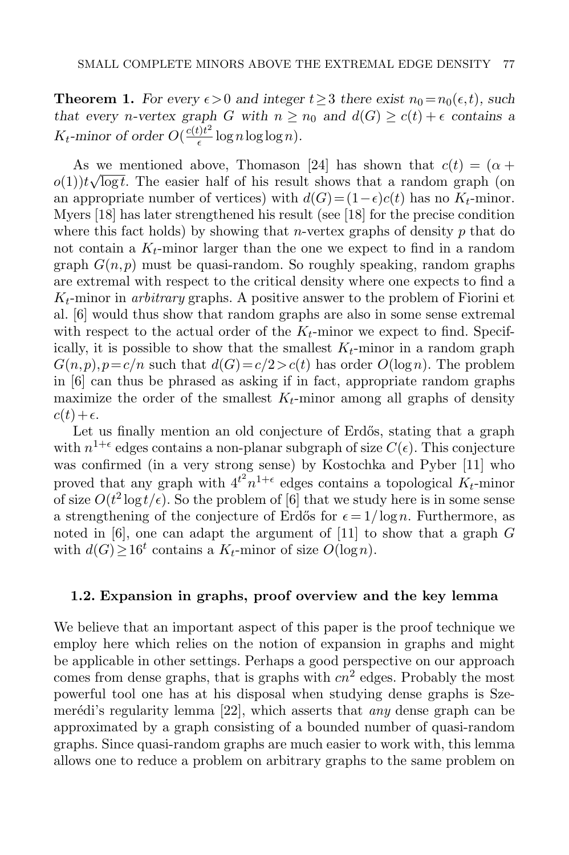**Theorem 1.** For every  $\epsilon > 0$  and integer  $t \geq 3$  there exist  $n_0 = n_0(\epsilon, t)$ , such that every n-vertex graph G with  $n \ge n_0$  and  $d(G) \ge c(t) + \epsilon$  contains a  $K_t$ -minor of order  $O(\frac{c(t)t^2}{\epsilon})$  $\frac{\partial u}{\partial \epsilon} \log n \log \log n$ ).

As we mentioned above, Thomason [\[24\]](#page-18-4) has shown that  $c(t) = (\alpha + \beta)$  $o(1)$ ) $t\sqrt{\log t}$ . The easier half of his result shows that a random graph (on an appropriate number of vertices) with  $d(G) = (1 - \epsilon)c(t)$  has no  $K_t$ -minor. Myers [\[18\]](#page-18-7) has later strengthened his result (see [\[18\]](#page-18-7) for the precise condition where this fact holds) by showing that *n*-vertex graphs of density p that do not contain a  $K_t$ -minor larger than the one we expect to find in a random graph  $G(n, p)$  must be quasi-random. So roughly speaking, random graphs are extremal with respect to the critical density where one expects to find a  $K_t$ -minor in *arbitrary* graphs. A positive answer to the problem of Fiorini et al. [\[6\]](#page-18-5) would thus show that random graphs are also in some sense extremal with respect to the actual order of the  $K_t$ -minor we expect to find. Specifically, it is possible to show that the smallest  $K_t$ -minor in a random graph  $G(n, p), p = c/n$  such that  $d(G) = c/2 > c(t)$  has order  $O(\log n)$ . The problem in [\[6\]](#page-18-5) can thus be phrased as asking if in fact, appropriate random graphs maximize the order of the smallest  $K_t$ -minor among all graphs of density  $c(t)+\epsilon.$ 

Let us finally mention an old conjecture of Erdős, stating that a graph with  $n^{1+\epsilon}$  edges contains a non-planar subgraph of size  $C(\epsilon)$ . This conjecture was confirmed (in a very strong sense) by Kostochka and Pyber [\[11\]](#page-18-8) who proved that any graph with  $4^{t^2}n^{1+\epsilon}$  edges contains a topological  $K_t$ -minor of size  $O(t^2 \log t/\epsilon)$ . So the problem of [\[6\]](#page-18-5) that we study here is in some sense a strengthening of the conjecture of Erdős for  $\epsilon = 1/\log n$ . Furthermore, as noted in [\[6\]](#page-18-5), one can adapt the argument of [\[11\]](#page-18-8) to show that a graph G with  $d(G) \ge 16^t$  contains a  $K_t$ -minor of size  $O(\log n)$ .

#### 1.2. Expansion in graphs, proof overview and the key lemma

We believe that an important aspect of this paper is the proof technique we employ here which relies on the notion of expansion in graphs and might be applicable in other settings. Perhaps a good perspective on our approach comes from dense graphs, that is graphs with  $cn^2$  edges. Probably the most powerful tool one has at his disposal when studying dense graphs is Szemerédi's regularity lemma  $[22]$ , which asserts that *any* dense graph can be approximated by a graph consisting of a bounded number of quasi-random graphs. Since quasi-random graphs are much easier to work with, this lemma allows one to reduce a problem on arbitrary graphs to the same problem on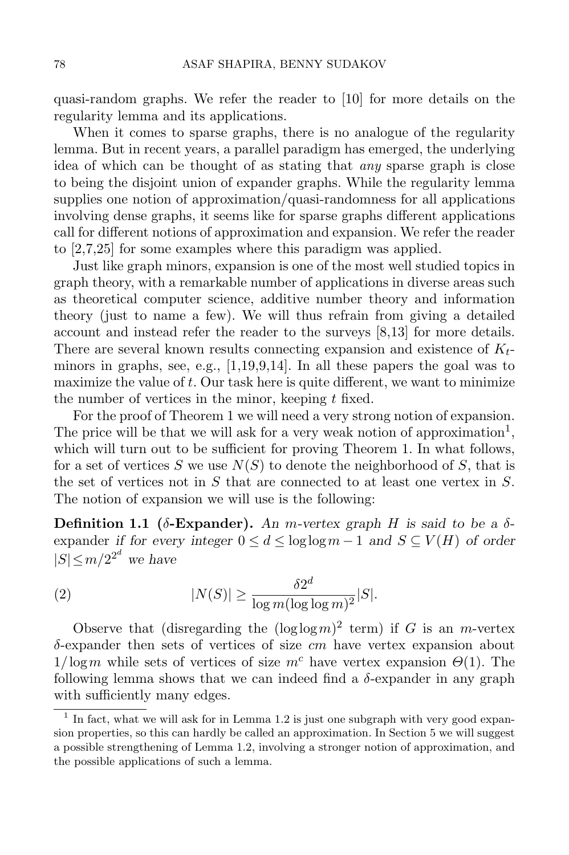quasi-random graphs. We refer the reader to [\[10\]](#page-18-10) for more details on the regularity lemma and its applications.

When it comes to sparse graphs, there is no analogue of the regularity lemma. But in recent years, a parallel paradigm has emerged, the underlying idea of which can be thought of as stating that any sparse graph is close to being the disjoint union of expander graphs. While the regularity lemma supplies one notion of approximation/quasi-randomness for all applications involving dense graphs, it seems like for sparse graphs different applications call for different notions of approximation and expansion. We refer the reader to [\[2,](#page-17-0)[7](#page-18-11)[,25\]](#page-18-12) for some examples where this paradigm was applied.

Just like graph minors, expansion is one of the most well studied topics in graph theory, with a remarkable number of applications in diverse areas such as theoretical computer science, additive number theory and information theory (just to name a few). We will thus refrain from giving a detailed account and instead refer the reader to the surveys [\[8,](#page-18-13)[13\]](#page-18-14) for more details. There are several known results connecting expansion and existence of  $K_t$ minors in graphs, see, e.g.,  $[1,19,9,14]$  $[1,19,9,14]$  $[1,19,9,14]$  $[1,19,9,14]$ . In all these papers the goal was to maximize the value of  $t$ . Our task here is quite different, we want to minimize the number of vertices in the minor, keeping  $t$  fixed.

For the proof of Theorem [1](#page-1-0) we will need a very strong notion of expansion. The price will be that we will ask for a very weak notion of approximation<sup>1</sup>, which will turn out to be sufficient for proving Theorem [1.](#page-1-0) In what follows, for a set of vertices S we use  $N(S)$  to denote the neighborhood of S, that is the set of vertices not in S that are connected to at least one vertex in  $S$ . The notion of expansion we will use is the following:

<span id="page-3-1"></span>Definition 1.1 ( $\delta$ -Expander). An m-vertex graph H is said to be a  $\delta$ expander if for every integer  $0 \le d \le \log \log m - 1$  and  $S \subseteq V(H)$  of order  $|S| \le m/2^{2^d}$  we have

<span id="page-3-2"></span>(2) 
$$
|N(S)| \geq \frac{\delta 2^d}{\log m (\log \log m)^2} |S|.
$$

Observe that (disregarding the  $(\log \log m)^2$  term) if G is an m-vertex  $\delta$ -expander then sets of vertices of size cm have vertex expansion about  $1/\log m$  while sets of vertices of size  $m^c$  have vertex expansion  $\Theta(1)$ . The following lemma shows that we can indeed find a  $\delta$ -expander in any graph with sufficiently many edges.

<span id="page-3-0"></span> $<sup>1</sup>$  In fact, what we will ask for in Lemma [1.2](#page-3-0) is just one subgraph with very good expan-</sup> sion properties, so this can hardly be called an approximation. In Section [5](#page-16-0) we will suggest a possible strengthening of Lemma [1.2,](#page-3-0) involving a stronger notion of approximation, and the possible applications of such a lemma.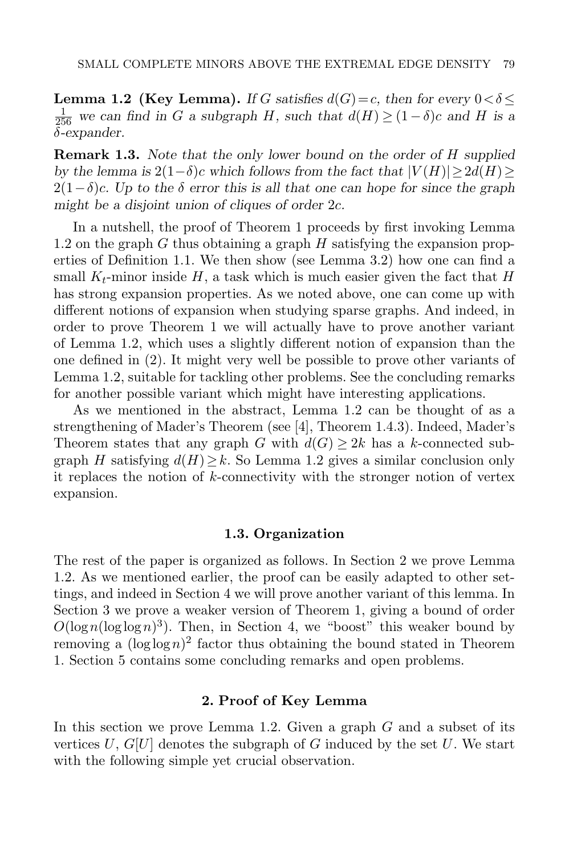**Lemma 1.2 (Key Lemma).** If G satisfies  $d(G) = c$ , then for every  $0 < \delta \le$  $\frac{1}{256}$  we can find in G a subgraph H, such that  $d(H) ≥ (1 - \delta)c$  and H is a δ-expander.

**Remark 1.3.** Note that the only lower bound on the order of H supplied by the lemma is  $2(1-\delta)c$  which follows from the fact that  $|V(H)| \geq 2d(H) \geq$  $2(1-\delta)c$ . Up to the  $\delta$  error this is all that one can hope for since the graph might be a disjoint union of cliques of order 2c.

In a nutshell, the proof of Theorem [1](#page-1-0) proceeds by first invoking Lemma [1.2](#page-3-0) on the graph  $G$  thus obtaining a graph  $H$  satisfying the expansion properties of Definition [1.1.](#page-3-1) We then show (see Lemma [3.2\)](#page-7-0) how one can find a small  $K_t$ -minor inside H, a task which is much easier given the fact that H has strong expansion properties. As we noted above, one can come up with different notions of expansion when studying sparse graphs. And indeed, in order to prove Theorem [1](#page-1-0) we will actually have to prove another variant of Lemma [1.2,](#page-3-0) which uses a slightly different notion of expansion than the one defined in [\(2\)](#page-3-2). It might very well be possible to prove other variants of Lemma [1.2,](#page-3-0) suitable for tackling other problems. See the concluding remarks for another possible variant which might have interesting applications.

As we mentioned in the abstract, Lemma [1.2](#page-3-0) can be thought of as a strengthening of Mader's Theorem (see [\[4\]](#page-18-18), Theorem 1.4.3). Indeed, Mader's Theorem states that any graph G with  $d(G) \geq 2k$  has a k-connected subgraph H satisfying  $d(H) \geq k$ . So Lemma [1.2](#page-3-0) gives a similar conclusion only it replaces the notion of  $k$ -connectivity with the stronger notion of vertex expansion.

#### 1.3. Organization

The rest of the paper is organized as follows. In Section [2](#page-4-0) we prove Lemma [1.2.](#page-3-0) As we mentioned earlier, the proof can be easily adapted to other settings, and indeed in Section [4](#page-13-0) we will prove another variant of this lemma. In Section [3](#page-7-1) we prove a weaker version of Theorem [1,](#page-1-0) giving a bound of order  $O(\log n(\log \log n)^3)$ . Then, in Section [4,](#page-13-0) we "boost" this weaker bound by removing a  $(\log \log n)^2$  factor thus obtaining the bound stated in Theorem [1.](#page-1-0) Section [5](#page-16-0) contains some concluding remarks and open problems.

#### 2. Proof of Key Lemma

<span id="page-4-1"></span><span id="page-4-0"></span>In this section we prove Lemma [1.2.](#page-3-0) Given a graph  $G$  and a subset of its vertices  $U, G[U]$  denotes the subgraph of G induced by the set U. We start with the following simple yet crucial observation.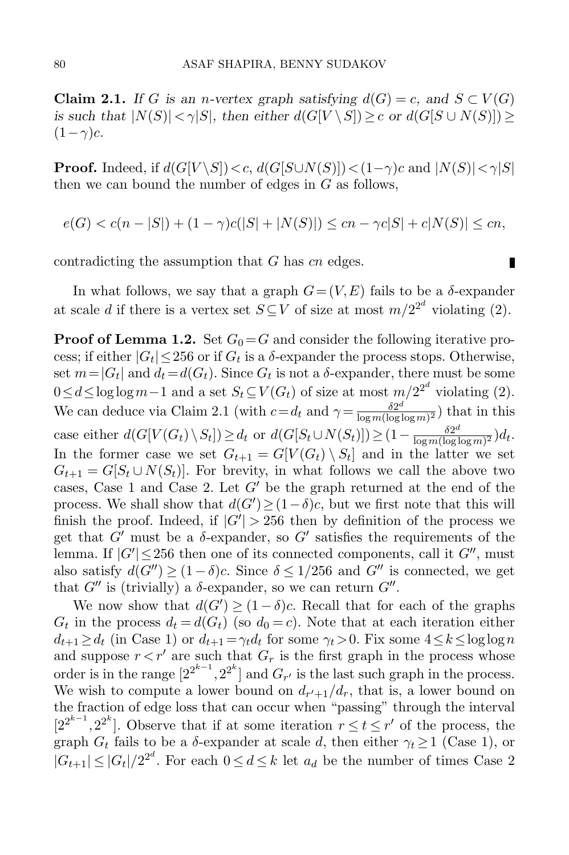**Claim 2.1.** If G is an n-vertex graph satisfying  $d(G) = c$ , and  $S \subset V(G)$ is such that  $|N(S)| < \gamma |S|$ , then either  $d(G[V \setminus S]) \geq c$  or  $d(G[S \cup N(S)]) \geq c$  $(1-\gamma)c$ .

**Proof.** Indeed, if  $d(G[V \setminus S]) < c$ ,  $d(G[S \cup N(S)]) < (1-\gamma)c$  and  $|N(S)| < \gamma|S|$ then we can bound the number of edges in  $G$  as follows,

$$
e(G) < c(n-|S|) + (1-\gamma)c(|S| + |N(S)|) \le cn - \gamma c|S| + c|N(S)| \le cn,
$$

п

contradicting the assumption that G has cn edges.

In what follows, we say that a graph  $G = (V, E)$  fails to be a  $\delta$ -expander at scale d if there is a vertex set  $S \subseteq V$  of size at most  $m/2^{2^d}$  violating [\(2\)](#page-3-2).

**Proof of Lemma [1.2.](#page-3-0)** Set  $G_0 = G$  and consider the following iterative process; if either  $|G_t| \le 256$  or if  $G_t$  is a  $\delta$ -expander the process stops. Otherwise, set  $m = |G_t|$  and  $d_t = d(G_t)$ . Since  $G_t$  is not a  $\delta$ -expander, there must be some  $0 \le d \le \log \log m - 1$  and a set  $S_t \subseteq V(G_t)$  of size at most  $m/2^{2^d}$  violating [\(2\)](#page-3-2). We can deduce via Claim [2.1](#page-4-1) (with  $c = d_t$  and  $\gamma = \frac{\delta 2^{d}}{\log m (\log d)}$  $\frac{\delta 2^{\alpha}}{\log m (\log \log m)^2}$  that in this case either  $d(G[V(G_t)\setminus S_t]) \ge d_t$  or  $d(G[S_t\cup N(S_t)]) \ge (1-\frac{\delta 2^{d}}{\log m(\log d)})$  $\frac{\delta 2^{\alpha}}{\log m (\log \log m)^2} d_t.$ In the former case we set  $G_{t+1} = G[V(G_t) \setminus S_t]$  and in the latter we set  $G_{t+1} = G[S_t \cup N(S_t)]$ . For brevity, in what follows we call the above two cases, Case 1 and Case 2. Let  $G'$  be the graph returned at the end of the process. We shall show that  $d(G') \geq (1 - \delta)c$ , but we first note that this will finish the proof. Indeed, if  $|G'| > 256$  then by definition of the process we get that  $G'$  must be a  $\delta$ -expander, so  $G'$  satisfies the requirements of the lemma. If  $|G'|\leq 256$  then one of its connected components, call it  $G''$ , must also satisfy  $d(G'') \geq (1 - \delta)c$ . Since  $\delta \leq 1/256$  and  $G''$  is connected, we get that  $G''$  is (trivially) a  $\delta$ -expander, so we can return  $G''$ .

We now show that  $d(G') \geq (1 - \delta)c$ . Recall that for each of the graphs  $G_t$  in the process  $d_t = d(G_t)$  (so  $d_0 = c$ ). Note that at each iteration either  $d_{t+1} \geq d_t$  (in Case 1) or  $d_{t+1} = \gamma_t d_t$  for some  $\gamma_t > 0$ . Fix some  $4 \leq k \leq \log \log n$ and suppose  $r < r'$  are such that  $G_r$  is the first graph in the process whose order is in the range  $[2^{2^{k-1}}, 2^{2^k}]$  and  $G_{r'}$  is the last such graph in the process. We wish to compute a lower bound on  $d_{r'+1}/d_r$ , that is, a lower bound on the fraction of edge loss that can occur when "passing" through the interval  $[2^{2^{k-1}}, 2^{2^k}]$ . Observe that if at some iteration  $r \le t \le r'$  of the process, the graph  $G_t$  fails to be a  $\delta$ -expander at scale d, then either  $\gamma_t \geq 1$  (Case 1), or  $|G_{t+1}| \leq |G_t|/2^{2^d}$ . For each  $0 \leq d \leq k$  let  $a_d$  be the number of times Case 2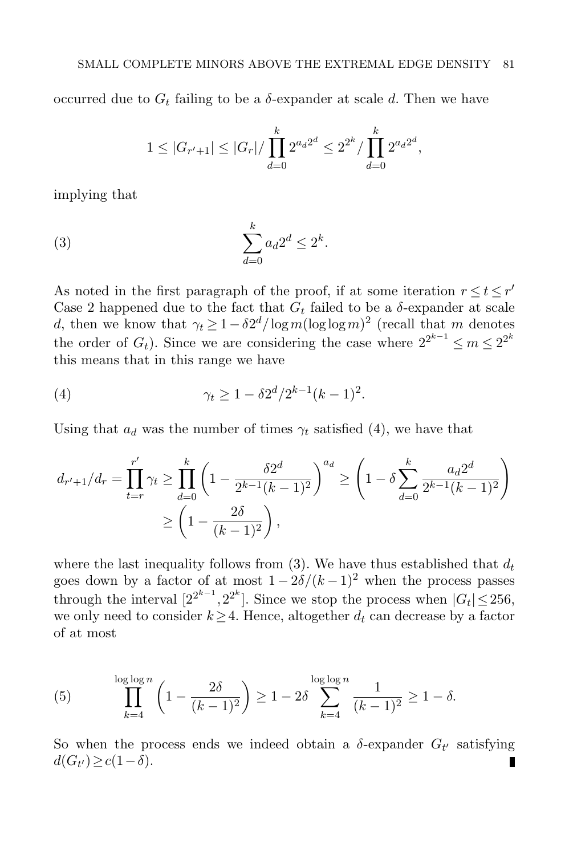occurred due to  $G_t$  failing to be a  $\delta$ -expander at scale d. Then we have

<span id="page-6-1"></span>
$$
1 \leq |G_{r'+1}| \leq |G_r| / \prod_{d=0}^k 2^{a_d 2^d} \leq 2^{2^k} / \prod_{d=0}^k 2^{a_d 2^d},
$$

implying that

$$
\sum_{d=0}^{k} a_d 2^d \le 2^k.
$$

As noted in the first paragraph of the proof, if at some iteration  $r \le t \le r'$ Case 2 happened due to the fact that  $G_t$  failed to be a  $\delta$ -expander at scale d, then we know that  $\gamma_t \geq 1 - \delta 2^d / \log m (\log \log m)^2$  (recall that m denotes the order of  $G_t$ ). Since we are considering the case where  $2^{2^{k-1}} \le m \le 2^{2^k}$ this means that in this range we have

<span id="page-6-0"></span>(4) 
$$
\gamma_t \geq 1 - \delta 2^d / 2^{k-1} (k-1)^2.
$$

Using that  $a_d$  was the number of times  $\gamma_t$  satisfied [\(4\)](#page-6-0), we have that

$$
d_{r'+1}/d_r = \prod_{t=r}^{r'} \gamma_t \ge \prod_{d=0}^k \left(1 - \frac{\delta 2^d}{2^{k-1}(k-1)^2}\right)^{a_d} \ge \left(1 - \delta \sum_{d=0}^k \frac{a_d 2^d}{2^{k-1}(k-1)^2}\right)
$$

$$
\ge \left(1 - \frac{2\delta}{(k-1)^2}\right),
$$

where the last inequality follows from [\(3\)](#page-6-1). We have thus established that  $d_t$ goes down by a factor of at most  $1 - 2\delta/(k-1)^2$  when the process passes through the interval  $[2^{2^{k-1}}, 2^{2^k}]$ . Since we stop the process when  $|G_t| \le 256$ , we only need to consider  $k \geq 4$ . Hence, altogether  $d_t$  can decrease by a factor of at most

(5) 
$$
\prod_{k=4}^{\log \log n} \left(1 - \frac{2\delta}{(k-1)^2}\right) \ge 1 - 2\delta \sum_{k=4}^{\log \log n} \frac{1}{(k-1)^2} \ge 1 - \delta.
$$

So when the process ends we indeed obtain a  $\delta$ -expander  $G_{t'}$  satisfying  $d(G_{t'}) \geq c(1-\delta).$ Ш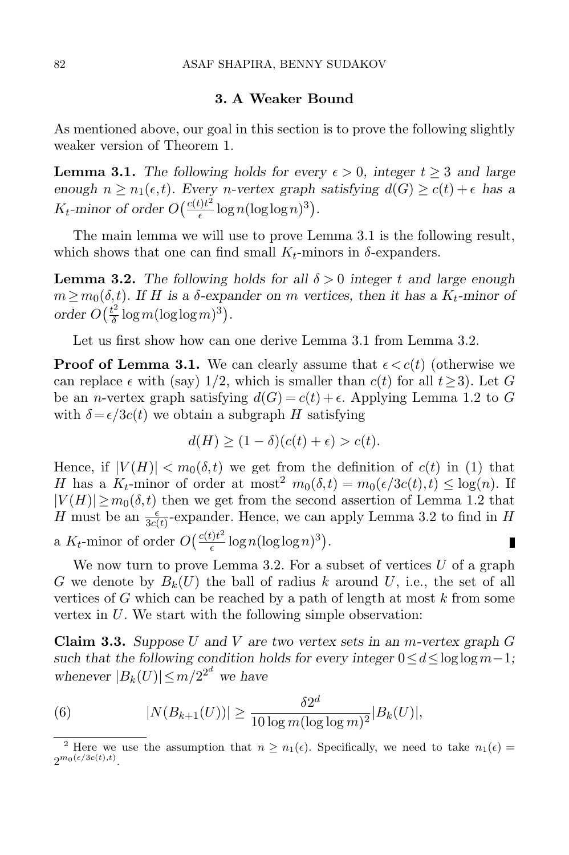#### 3. A Weaker Bound

<span id="page-7-1"></span>As mentioned above, our goal in this section is to prove the following slightly weaker version of Theorem [1.](#page-1-0)

<span id="page-7-2"></span>**Lemma 3.1.** The following holds for every  $\epsilon > 0$ , integer  $t > 3$  and large enough  $n \geq n_1(\epsilon, t)$ . Every *n*-vertex graph satisfying  $d(G) \geq c(t) + \epsilon$  has a  $K_t$ -minor of order  $O\left(\frac{c(t)t^2}{\epsilon}\right)$  $\frac{t}{\epsilon} \log n (\log \log n)^3$ .

The main lemma we will use to prove Lemma [3.1](#page-7-2) is the following result, which shows that one can find small  $K_t$ -minors in  $\delta$ -expanders.

<span id="page-7-0"></span>**Lemma 3.2.** The following holds for all  $\delta > 0$  integer t and large enough  $m \geq m_0(\delta, t)$ . If H is a  $\delta$ -expander on m vertices, then it has a  $K_t$ -minor of order  $O(\frac{t^2}{\delta})$  $\frac{t^2}{\delta} \log m (\log \log m)^3$ ).

Let us first show how can one derive Lemma [3.1](#page-7-2) from Lemma [3.2.](#page-7-0)

**Proof of Lemma [3.1.](#page-7-2)** We can clearly assume that  $\epsilon < c(t)$  (otherwise we can replace  $\epsilon$  with (say) 1/2, which is smaller than  $c(t)$  for all  $t \ge 3$ ). Let G be an *n*-vertex graph satisfying  $d(G) = c(t) + \epsilon$ . Applying Lemma [1.2](#page-3-0) to G with  $\delta = \epsilon/3c(t)$  we obtain a subgraph H satisfying

$$
d(H) \ge (1 - \delta)(c(t) + \epsilon) > c(t).
$$

Hence, if  $|V(H)| < m_0(\delta,t)$  we get from the definition of  $c(t)$  in [\(1\)](#page-1-1) that H has a  $K_t$ -minor of order at most<sup>2</sup>  $m_0(\delta, t) = m_0(\epsilon/3c(t), t) \leq \log(n)$ . If  $|V(H)| \geq m_0(\delta, t)$  then we get from the second assertion of Lemma [1.2](#page-3-0) that H must be an  $\frac{\epsilon}{3c(t)}$ -expander. Hence, we can apply Lemma [3.2](#page-7-0) to find in H a  $K_t$ -minor of order  $O\left(\frac{c(t)t^2}{\epsilon}\right)$  $\frac{t}{\epsilon} \log n (\log \log n)^3$ . П

We now turn to prove Lemma [3.2.](#page-7-0) For a subset of vertices  $U$  of a graph G we denote by  $B_k(U)$  the ball of radius k around U, i.e., the set of all vertices of G which can be reached by a path of length at most  $k$  from some vertex in  $U$ . We start with the following simple observation:

<span id="page-7-4"></span>**Claim 3.3.** Suppose U and V are two vertex sets in an m-vertex graph G such that the following condition holds for every integer  $0 \le d \le \log \log m - 1$ ; whenever  $|B_k(U)| \leq m/2^{2^d}$  we have

<span id="page-7-3"></span>(6) 
$$
|N(B_{k+1}(U))| \ge \frac{\delta 2^d}{10 \log m (\log \log m)^2} |B_k(U)|,
$$

<sup>&</sup>lt;sup>2</sup> Here we use the assumption that  $n \geq n_1(\epsilon)$ . Specifically, we need to take  $n_1(\epsilon)$  =  $2^{m_0(\epsilon/3c(t),t)}.$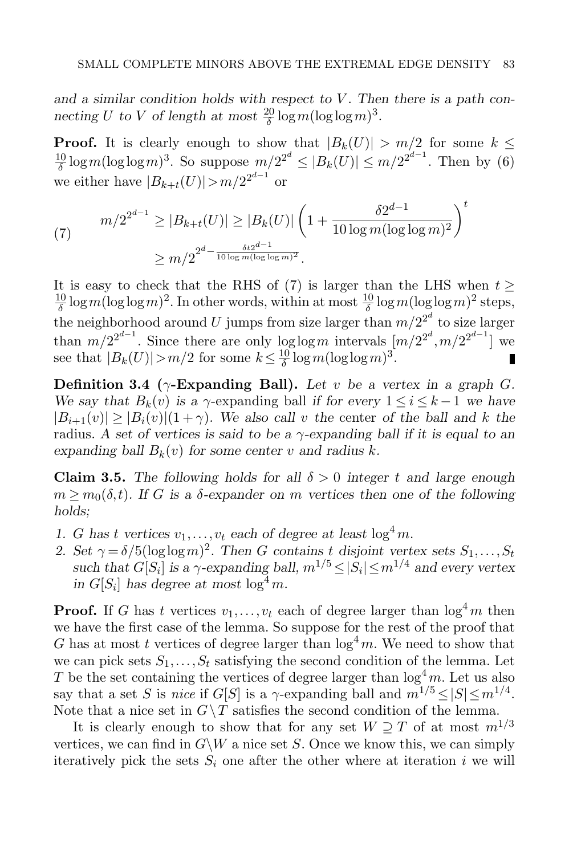and a similar condition holds with respect to  $V$ . Then there is a path connecting U to V of length at most  $\frac{20}{\delta} \log m (\log \log m)^3$ .

**Proof.** It is clearly enough to show that  $|B_k(U)| > m/2$  for some  $k \leq$  $\frac{10}{\delta}\log m(\log\log m)^3$ . So suppose  $m/2^{2^d} \leq |B_k(U)| \leq m/2^{2^{d-1}}$ . Then by [\(6\)](#page-7-3) δ we either have  $|B_{k+t}(U)| > m/2^{2^{d-1}}$  or

<span id="page-8-0"></span>(7) 
$$
m/2^{2^{d-1}} \ge |B_{k+t}(U)| \ge |B_k(U)| \left(1 + \frac{\delta 2^{d-1}}{10 \log m (\log \log m)^2}\right)^t
$$

$$
\ge m/2^{2^{d-1} \frac{\delta t 2^{d-1}}{10 \log m (\log \log m)^2}}.
$$

It is easy to check that the RHS of [\(7\)](#page-8-0) is larger than the LHS when  $t \geq$ <u>10</u>  $\frac{10}{\delta} \log m (\log \log m)^2$ . In other words, within at most  $\frac{10}{\delta} \log m (\log \log m)^2$  steps, the neighborhood around U jumps from size larger than  $m/2^{2^d}$  to size larger than  $m/2^{2^{d-1}}$ . Since there are only  $\log \log m$  intervals  $\left[m/2^{2^d}, m/2^{2^{d-1}}\right]$  we see that  $|B_k(U)| > m/2$  for some  $k \leq \frac{10}{\delta}$  $\frac{10}{\delta} \log m (\log \log m)^3$ .

Definition 3.4 ( $\gamma$ -Expanding Ball). Let v be a vertex in a graph G. We say that  $B_k(v)$  is a  $\gamma$ -expanding ball if for every  $1 \le i \le k-1$  we have  $|B_{i+1}(v)| \geq |B_i(v)| (1+\gamma)$ . We also call v the center of the ball and k the radius. A set of vertices is said to be a  $\gamma$ -expanding ball if it is equal to an expanding ball  $B_k(v)$  for some center v and radius k.

<span id="page-8-1"></span>**Claim 3.5.** The following holds for all  $\delta > 0$  integer t and large enough  $m \geq m_0(\delta, t)$ . If G is a  $\delta$ -expander on m vertices then one of the following holds;

- 1. G has t vertices  $v_1, \ldots, v_t$  each of degree at least  $\log^4 m$ .
- 2. Set  $\gamma = \delta/5(\log \log m)^2$ . Then G contains t disjoint vertex sets  $S_1, \ldots, S_t$ such that  $G[S_i]$  is a  $\gamma$ -expanding ball,  $m^{1/5} \leq |S_i| \leq m^{1/4}$  and every vertex in  $G[S_i]$  has degree at most  $\log^4 m$ .

**Proof.** If G has t vertices  $v_1, \ldots, v_t$  each of degree larger than  $\log^4 m$  then we have the first case of the lemma. So suppose for the rest of the proof that G has at most t vertices of degree larger than  $\log^4 m$ . We need to show that we can pick sets  $S_1, \ldots, S_t$  satisfying the second condition of the lemma. Let T be the set containing the vertices of degree larger than  $\log^4 m$ . Let us also say that a set S is nice if  $G[S]$  is a  $\gamma$ -expanding ball and  $m^{1/5} \leq |S| \leq m^{1/4}$ . Note that a nice set in  $G \backslash T$  satisfies the second condition of the lemma.

It is clearly enough to show that for any set  $W \supseteq T$  of at most  $m^{1/3}$ vertices, we can find in  $G\backslash W$  a nice set S. Once we know this, we can simply iteratively pick the sets  $S_i$  one after the other where at iteration i we will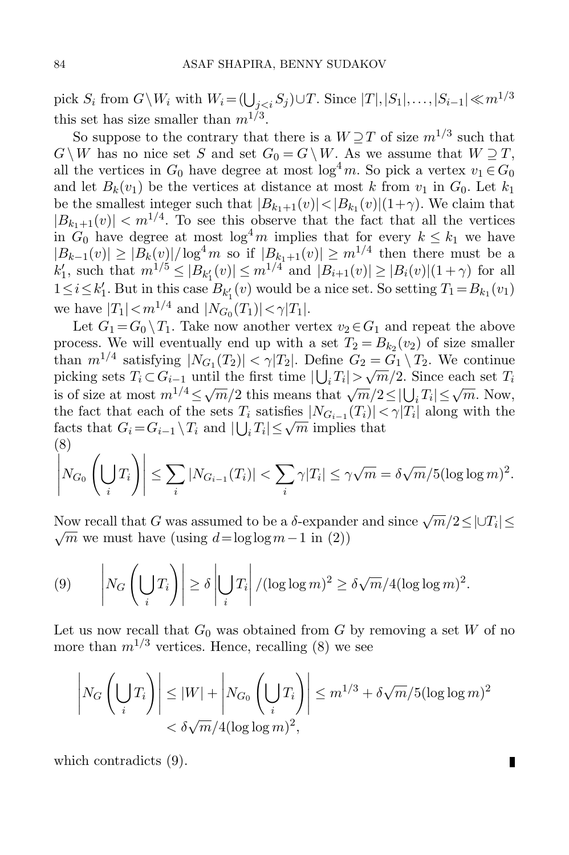pick  $S_i$  from  $G \backslash W_i$  with  $W_i = (\bigcup_{j < i} S_j) \cup T$ . Since  $|T|, |S_1|, \ldots, |S_{i-1}| \ll m^{1/3}$ this set has size smaller than  $m^{1/3}$ .

So suppose to the contrary that there is a  $W\supseteq T$  of size  $m^{1/3}$  such that  $G \backslash W$  has no nice set S and set  $G_0 = G \backslash W$ . As we assume that  $W \supseteq T$ , all the vertices in  $G_0$  have degree at most  $\log^4 m$ . So pick a vertex  $v_1 \in G_0$ and let  $B_k(v_1)$  be the vertices at distance at most k from  $v_1$  in  $G_0$ . Let  $k_1$ be the smallest integer such that  $|B_{k_1+1}(v)| < |B_{k_1}(v)| (1+\gamma)$ . We claim that  $|B_{k_1+1}(v)| < m^{1/4}$ . To see this observe that the fact that all the vertices in  $G_0$  have degree at most  $\log^4 m$  implies that for every  $k \leq k_1$  we have  $|B_{k-1}(v)| \geq |B_k(v)|/\log^4 m$  so if  $|B_{k_1+1}(v)| \geq m^{1/4}$  then there must be a  $k'_1$ , such that  $m^{1/5} \leq |B_{k'_1}(v)| \leq m^{1/4}$  and  $|B_{i+1}(v)| \geq |B_i(v)|(1+\gamma)$  for all  $1 \leq i \leq k'_1$ . But in this case  $B_{k'_1}(v)$  would be a nice set. So setting  $T_1 = B_{k_1}(v_1)$ we have  $|T_1| < m^{1/4}$  and  $|N_{G_0}(T_1)| < \gamma |T_1|$ .

Let  $G_1 = G_0 \setminus T_1$ . Take now another vertex  $v_2 \in G_1$  and repeat the above process. We will eventually end up with a set  $T_2 = B_{k_2}(v_2)$  of size smaller than  $m^{1/4}$  satisfying  $|N_{G_1}(T_2)| < \gamma |T_2|$ . Define  $G_2 = G_1 \setminus T_2$ . We continue indiffusively the  $|N G_1(T_2)| \leq \gamma |T_2|$ . Define  $G_2 = G_1 \setminus T_2$ . We continue picking sets  $T_i \subset G_{i-1}$  until the first time  $|\bigcup_i T_i| > \sqrt{m}/2$ . Since each set  $T_i$ is of size at most  $m^{1/4} \le \sqrt{m}/2$  this means that  $\sqrt{m}/2 \le |\bigcup_i T_i| \le \sqrt{m}$ . Now, the fact that each of the sets  $T_i$  satisfies  $|N_{G_{i-1}}(T_i)| < \gamma |T_i|$  along with the the fact that each of the sets  $T_i$  satisfies  $|N G_{i-1}(T_i)| \le$ <br>facts that  $G_i = G_{i-1} \setminus T_i$  and  $|\bigcup_i T_i| \leq \sqrt{m}$  implies that (8) .<br>.<br>.<br>.

<span id="page-9-0"></span>
$$
\left|N_{G_0}\left(\bigcup_i T_i\right)\right| \leq \sum_i |N_{G_{i-1}}(T_i)| < \sum_i \gamma |T_i| \leq \gamma \sqrt{m} = \delta \sqrt{m}/5(\log \log m)^2.
$$

Now recall that G was assumed to be a  $\delta$ -expander and since  $\sqrt{m}/2 \leq |\cup T_i| \leq$  $\sqrt{m}$  we must have (using  $d=\log\log m-1$  in [\(2\)](#page-3-2))

<span id="page-9-1"></span>
$$
(9) \qquad \left|N_G\left(\bigcup_i T_i\right)\right| \ge \delta \left|\bigcup_i T_i\right|/(\log \log m)^2 \ge \delta \sqrt{m}/4(\log \log m)^2.
$$

Let us now recall that  $G_0$  was obtained from G by removing a set W of no more than  $m^{1/3}$  vertices. Hence, recalling [\(8\)](#page-9-0) we see

$$
\left|N_G\left(\bigcup_i T_i\right)\right| \le |W| + \left|N_{G_0}\left(\bigcup_i T_i\right)\right| \le m^{1/3} + \delta\sqrt{m}/5(\log\log m)^2
$$
  
<  $\delta\sqrt{m}/4(\log\log m)^2$ ,

П

<span id="page-9-2"></span>which contradicts [\(9\)](#page-9-1).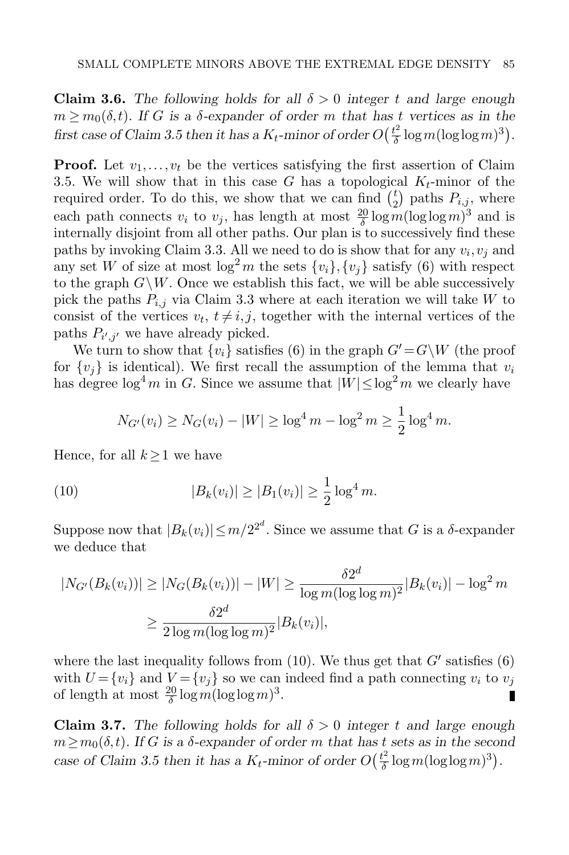**Claim 3.6.** The following holds for all  $\delta > 0$  integer t and large enough  $m \geq m_0(\delta, t)$ . If G is a  $\delta$ -expander of order m that has t vertices as in the first case of Claim [3.5](#page-8-1) then it has a  $K_t$ -minor of order  $O(\frac{t^2}{\delta})$  $\frac{t^2}{\delta} \log m (\log \log m)^3$ ).

**Proof.** Let  $v_1, \ldots, v_t$  be the vertices satisfying the first assertion of Claim [3.5.](#page-8-1) We will show that in this case G has a topological  $K_t$ -minor of the required order. To do this, we show that we can find  $\binom{t}{2}$  $\binom{t}{2}$  paths  $P_{i,j}$ , where each path connects  $v_i$  to  $v_j$ , has length at most  $\frac{20}{\delta} \log m (\log \log m)^3$  and is internally disjoint from all other paths. Our plan is to successively find these paths by invoking Claim [3.3.](#page-7-4) All we need to do is show that for any  $v_i, v_j$  and any set W of size at most  $\log^2 m$  the sets  $\{v_i\}$ ,  $\{v_j\}$  satisfy [\(6\)](#page-7-3) with respect to the graph  $G\backslash W$ . Once we establish this fact, we will be able successively pick the paths  $P_{i,j}$  via Claim [3.3](#page-7-4) where at each iteration we will take W to consist of the vertices  $v_t$ ,  $t \neq i, j$ , together with the internal vertices of the paths  $P_{i',j'}$  we have already picked.

We turn to show that  $\{v_i\}$  satisfies [\(6\)](#page-7-3) in the graph  $G' = G\backslash W$  (the proof for  $\{v_i\}$  is identical). We first recall the assumption of the lemma that  $v_i$ has degree  $\log^4 m$  in G. Since we assume that  $|W| \leq \log^2 m$  we clearly have

<span id="page-10-0"></span>
$$
N_{G'}(v_i) \ge N_G(v_i) - |W| \ge \log^4 m - \log^2 m \ge \frac{1}{2} \log^4 m.
$$

Hence, for all  $k \geq 1$  we have

(10) 
$$
|B_k(v_i)| \ge |B_1(v_i)| \ge \frac{1}{2} \log^4 m.
$$

Suppose now that  $|B_k(v_i)| \leq m/2^{2^d}$ . Since we assume that G is a  $\delta$ -expander we deduce that

$$
|N_{G'}(B_k(v_i))| \ge |N_G(B_k(v_i))| - |W| \ge \frac{\delta 2^d}{\log m (\log \log m)^2} |B_k(v_i)| - \log^2 m
$$
  

$$
\ge \frac{\delta 2^d}{2 \log m (\log \log m)^2} |B_k(v_i)|,
$$

where the last inequality follows from  $(10)$ . We thus get that  $G'$  satisfies  $(6)$ with  $U = \{v_i\}$  and  $V = \{v_j\}$  so we can indeed find a path connecting  $v_i$  to  $v_j$ of length at most  $\frac{20}{\delta} \log m (\log \log m)^3$ .

<span id="page-10-1"></span>**Claim 3.7.** The following holds for all  $\delta > 0$  integer t and large enough  $m \geq m_0(\delta, t)$ . If G is a  $\delta$ -expander of order m that has t sets as in the second case of Claim [3.5](#page-8-1) then it has a  $K_t$ -minor of order  $O(\frac{t^2}{\delta})$  $\frac{t^2}{\delta}\log m(\log\log m)^3$ ).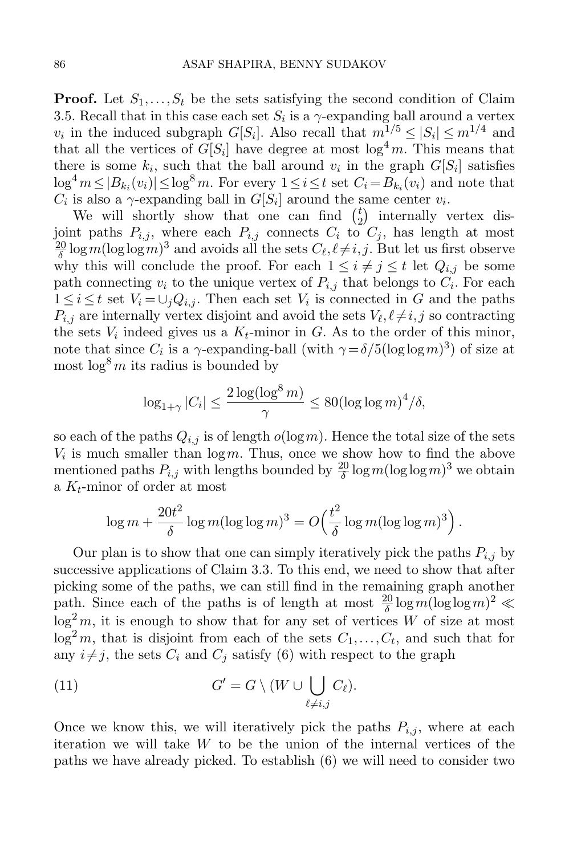**Proof.** Let  $S_1, \ldots, S_t$  be the sets satisfying the second condition of Claim [3.5.](#page-8-1) Recall that in this case each set  $S_i$  is a  $\gamma$ -expanding ball around a vertex  $v_i$  in the induced subgraph  $G[S_i]$ . Also recall that  $m_i^{1/5} \leq |S_i| \leq m_i^{1/4}$  and that all the vertices of  $G[S_i]$  have degree at most  $\log^4 m$ . This means that there is some  $k_i$ , such that the ball around  $v_i$  in the graph  $G[S_i]$  satisfies  $\log^4 m \leq |B_{k_i}(v_i)| \leq \log^8 m$ . For every  $1 \leq i \leq t$  set  $C_i = B_{k_i}(v_i)$  and note that  $C_i$  is also a  $\gamma$ -expanding ball in  $G[S_i]$  around the same center  $v_i$ .

We will shortly show that one can find  $\binom{t}{2}$  $\binom{t}{2}$  internally vertex disjoint paths  $P_{i,j}$ , where each  $P_{i,j}$  connects  $C_i$  to  $C_j$ , has length at most  $\underline{20}$  $\frac{20}{\delta}$  logm(loglogm)<sup>3</sup> and avoids all the sets  $C_{\ell}, \ell \neq i, j$ . But let us first observe why this will conclude the proof. For each  $1 \leq i \neq j \leq t$  let  $Q_{i,j}$  be some path connecting  $v_i$  to the unique vertex of  $P_{i,j}$  that belongs to  $C_i$ . For each  $1 \leq i \leq t$  set  $V_i = \bigcup_j Q_{i,j}$ . Then each set  $V_i$  is connected in G and the paths  $P_{i,j}$  are internally vertex disjoint and avoid the sets  $V_{\ell}, \ell \neq i, j$  so contracting the sets  $V_i$  indeed gives us a  $K_t$ -minor in G. As to the order of this minor, note that since  $C_i$  is a  $\gamma$ -expanding-ball (with  $\gamma = \delta/5(\log \log m)^3$ ) of size at most  $\log^8 m$  its radius is bounded by

$$
\log_{1+\gamma} |C_i| \leq \frac{2\log(\log^8 m)}{\gamma} \leq 80(\log\log m)^4/\delta,
$$

so each of the paths  $Q_{i,j}$  is of length  $o(\log m)$ . Hence the total size of the sets  $V_i$  is much smaller than  $\log m$ . Thus, once we show how to find the above mentioned paths  $P_{i,j}$  with lengths bounded by  $\frac{20}{\delta} \log m (\log \log m)^3$  we obtain a  $K_t$ -minor of order at most

$$
\log m + \frac{20t^2}{\delta} \log m (\log \log m)^3 = O\left(\frac{t^2}{\delta} \log m (\log \log m)^3\right).
$$

Our plan is to show that one can simply iteratively pick the paths  $P_{i,j}$  by successive applications of Claim [3.3.](#page-7-4) To this end, we need to show that after picking some of the paths, we can still find in the remaining graph another path. Since each of the paths is of length at most  $\frac{20}{\delta} \log m (\log \log m)^2 \ll$  $\log^2 m$ , it is enough to show that for any set of vertices W of size at most  $\log^2 m$ , that is disjoint from each of the sets  $C_1, \ldots, C_t$ , and such that for any  $i \neq j$ , the sets  $C_i$  and  $C_j$  satisfy [\(6\)](#page-7-3) with respect to the graph

<span id="page-11-0"></span>(11) 
$$
G' = G \setminus (W \cup \bigcup_{\ell \neq i,j} C_{\ell}).
$$

Once we know this, we will iteratively pick the paths  $P_{i,j}$ , where at each iteration we will take W to be the union of the internal vertices of the paths we have already picked. To establish [\(6\)](#page-7-3) we will need to consider two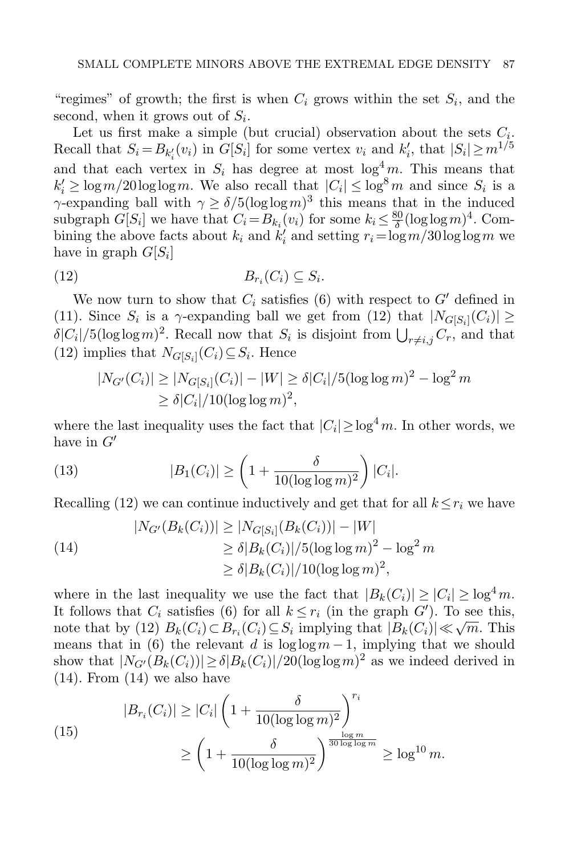"regimes" of growth; the first is when  $C_i$  grows within the set  $S_i$ , and the second, when it grows out of  $S_i$ .

Let us first make a simple (but crucial) observation about the sets  $C_i$ . Recall that  $S_i = B_{k'_i}(v_i)$  in  $G[S_i]$  for some vertex  $v_i$  and  $k'_i$ , that  $|S_i| \ge m^{1/5}$ and that each vertex in  $S_i$  has degree at most  $\log^4 m$ . This means that  $k'_i \geq \log m/20 \log \log m$ . We also recall that  $|C_i| \leq \log^8 m$  and since  $S_i$  is a  $\gamma$ -expanding ball with  $\gamma \ge \delta/5(\log \log m)^3$  this means that in the induced subgraph  $G[S_i]$  we have that  $C_i = B_{k_i}(v_i)$  for some  $k_i \leq \frac{80}{\delta}$  $\frac{30}{\delta}(\log\log m)^4$ . Combining the above facts about  $k_i$  and  $k'_i$  and setting  $r_i = \log m / 30 \log \log m$  we have in graph  $G[S_i]$ 

$$
(12) \t\t B_{r_i}(C_i) \subseteq S_i.
$$

We now turn to show that  $C_i$  satisfies [\(6\)](#page-7-3) with respect to  $G'$  defined in [\(11\)](#page-11-0). Since  $S_i$  is a  $\gamma$ -expanding ball we get from [\(12\)](#page-12-0) that  $|N_{G[S_i]}(C_i)| \geq$  $\delta|C_i|/5(\log \log m)^2$ . Recall now that  $S_i$  is disjoint from  $\bigcup_{r\neq i,j} C_r$ , and that [\(12\)](#page-12-0) implies that  $N_{G[S_i]}(C_i) \subseteq S_i$ . Hence

<span id="page-12-0"></span>
$$
|N_{G'}(C_i)| \ge |N_{G[S_i]}(C_i)| - |W| \ge \delta |C_i|/5(\log \log m)^2 - \log^2 m
$$
  
 
$$
\ge \delta |C_i|/10(\log \log m)^2,
$$

where the last inequality uses the fact that  $|C_i| \ge \log^4 m$ . In other words, we have in  $G'$ 

(13) 
$$
|B_1(C_i)| \ge \left(1 + \frac{\delta}{10(\log \log m)^2}\right)|C_i|.
$$

Recalling [\(12\)](#page-12-0) we can continue inductively and get that for all  $k \leq r_i$  we have

<span id="page-12-1"></span>(14)  
\n
$$
|N_{G'}(B_k(C_i))| \ge |N_{G[S_i]}(B_k(C_i))| - |W|
$$
\n
$$
\ge \delta |B_k(C_i)| / 5(\log \log m)^2 - \log^2 m
$$
\n
$$
\ge \delta |B_k(C_i)| / 10(\log \log m)^2,
$$

where in the last inequality we use the fact that  $|B_k(C_i)| \geq |C_i| \geq \log^4 m$ . It follows that  $C_i$  satisfies [\(6\)](#page-7-3) for all  $k \leq r_i$  (in the graph  $G'$ ). To see this, It follows that  $C_i$  satisfies (0) for all  $k \leq r_i$  (in the graph G). To see this,<br>note that by [\(12\)](#page-12-0)  $B_k(C_i) \subset B_{r_i}(C_i) \subseteq S_i$  implying that  $|B_k(C_i)| \ll \sqrt{m}$ . This means that in [\(6\)](#page-7-3) the relevant d is  $\log \log m - 1$ , implying that we should show that  $|N_{G'}(B_k(C_i))| \ge \delta |B_k(C_i)|/20(\log \log m)^2$  as we indeed derived in  $(14)$ . From  $(14)$  we also have

<span id="page-12-2"></span>(15)  

$$
|B_{r_i}(C_i)| \ge |C_i| \left(1 + \frac{\delta}{10(\log \log m)^2}\right)^{r_i}
$$

$$
\ge \left(1 + \frac{\delta}{10(\log \log m)^2}\right)^{\frac{\log m}{30 \log \log m}} \ge \log^{10} m.
$$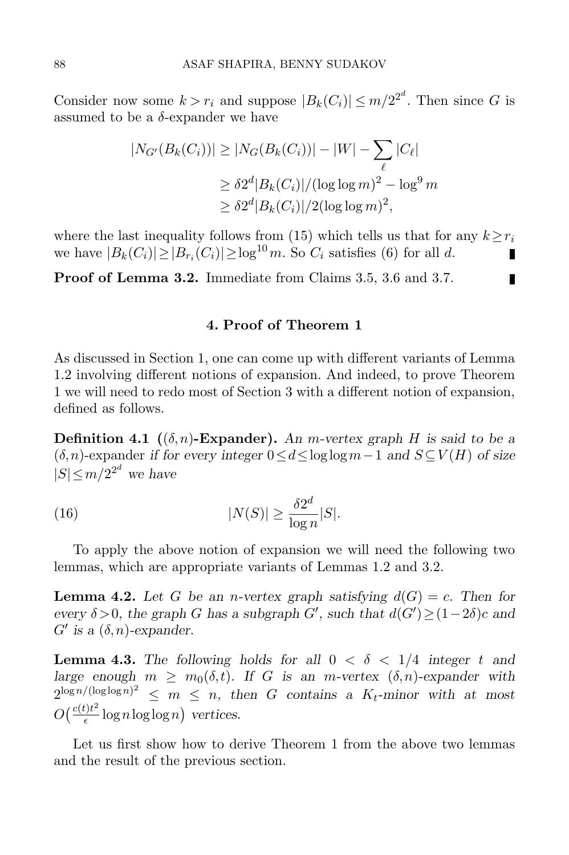Consider now some  $k > r_i$  and suppose  $|B_k(C_i)| \le m/2^{2^d}$ . Then since G is assumed to be a  $\delta$ -expander we have

$$
|N_{G'}(B_k(C_i))| \ge |N_G(B_k(C_i))| - |W| - \sum_{\ell} |C_{\ell}|
$$
  
\n
$$
\ge \delta 2^d |B_k(C_i)| / (\log \log m)^2 - \log^9 m
$$
  
\n
$$
\ge \delta 2^d |B_k(C_i)| / 2(\log \log m)^2,
$$

where the last inequality follows from [\(15\)](#page-12-2) which tells us that for any  $k \geq r_i$ we have  $|B_k(C_i)| \ge |B_{r_i}(C_i)| \ge \log^{10} m$ . So  $C_i$  satisfies [\(6\)](#page-7-3) for all d. П

П

Proof of Lemma [3.2.](#page-7-0) Immediate from Claims [3.5,](#page-8-1) [3.6](#page-9-2) and [3.7.](#page-10-1)

## 4. Proof of Theorem [1](#page-1-0)

<span id="page-13-0"></span>As discussed in Section [1,](#page-0-0) one can come up with different variants of Lemma [1.2](#page-3-0) involving different notions of expansion. And indeed, to prove Theorem [1](#page-1-0) we will need to redo most of Section [3](#page-7-1) with a different notion of expansion, defined as follows.

**Definition 4.1** ( $(\delta, n)$ -Expander). An m-vertex graph H is said to be a  $(\delta, n)$ -expander if for every integer  $0 \le d \le \log \log m - 1$  and  $S \subseteq V(H)$  of size  $|S| \le m/2^{2^d}$  we have

<span id="page-13-3"></span>(16) 
$$
|N(S)| \geq \frac{\delta 2^d}{\log n}|S|.
$$

To apply the above notion of expansion we will need the following two lemmas, which are appropriate variants of Lemmas [1.2](#page-3-0) and [3.2.](#page-7-0)

<span id="page-13-1"></span>**Lemma 4.2.** Let G be an *n*-vertex graph satisfying  $d(G) = c$ . Then for every  $\delta > 0$ , the graph G has a subgraph G', such that  $d(G') \geq (1-2\delta)c$  and  $G'$  is a  $(\delta, n)$ -expander.

<span id="page-13-2"></span>**Lemma 4.3.** The following holds for all  $0 < \delta < 1/4$  integer t and large enough  $m \geq m_0(\delta, t)$ . If G is an m-vertex  $(\delta, n)$ -expander with  $2^{\log n/(\log \log n)^2} \leq m \leq n$ , then G contains a  $K_t$ -minor with at most  $O\left(\frac{c(t)t^2}{\epsilon}\right)$  $\frac{t}{\epsilon}$  lognloglogn) vertices.

Let us first show how to derive Theorem [1](#page-1-0) from the above two lemmas and the result of the previous section.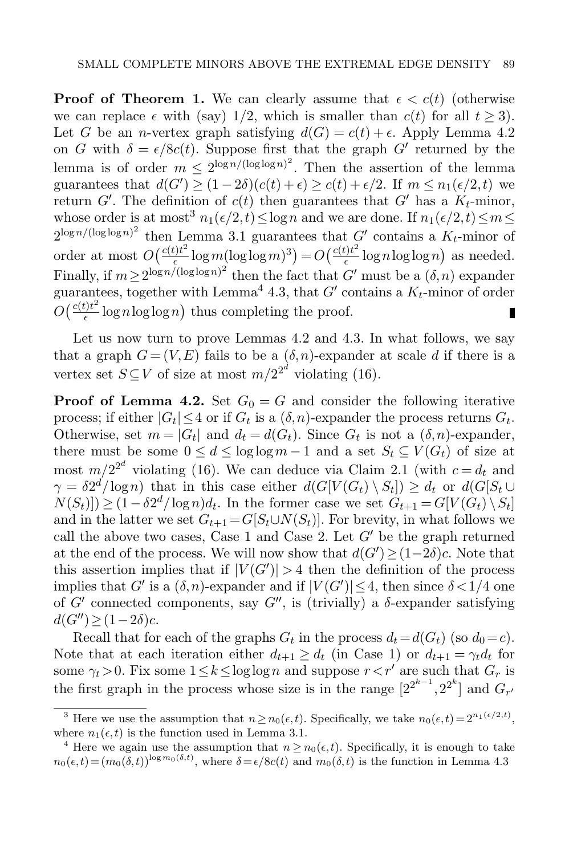**Proof of Theorem [1.](#page-1-0)** We can clearly assume that  $\epsilon < c(t)$  (otherwise we can replace  $\epsilon$  with (say) 1/2, which is smaller than  $c(t)$  for all  $t > 3$ ). Let G be an *n*-vertex graph satisfying  $d(G) = c(t) + \epsilon$ . Apply Lemma [4.2](#page-13-1) on G with  $\delta = \epsilon/8c(t)$ . Suppose first that the graph G' returned by the lemma is of order  $m \leq 2^{\log n/(\log \log n)^2}$ . Then the assertion of the lemma guarantees that  $d(G') \ge (1-2\delta)(c(t)+\epsilon) \ge c(t)+\epsilon/2$ . If  $m \le n_1(\epsilon/2, t)$  we return  $G'$ . The definition of  $c(t)$  then guarantees that  $G'$  has a  $K_t$ -minor, whose order is at most<sup>3</sup>  $n_1(\epsilon/2, t) \le \log n$  and we are done. If  $n_1(\epsilon/2, t) \le m \le$  $2^{\log n/(\log \log n)^2}$  then Lemma [3.1](#page-7-2) guarantees that  $G'$  contains a  $K_t$ -minor of order at most  $O\left(\frac{c(t)t^2}{\epsilon}\right)$  $\frac{e^{t}}{\epsilon} \log m(\log \log m)^3) = O\left(\frac{c(t)t^2}{\epsilon}\right)$  $\frac{\partial f}{\partial \epsilon}$  lognloglogn) as needed. Finally, if  $m \ge 2^{\log n/(\log \log n)^2}$  then the fact that G' must be a  $(\delta, n)$  expander guarantees, together with Lemma<sup>4</sup> [4.3,](#page-13-2) that  $G'$  contains a  $K_t$ -minor of order  $O\left(\frac{c(t)t^2}{\epsilon}\right)$  $\frac{f(t^2)}{\epsilon} \log n \log \log n$  thus completing the proof.

Let us now turn to prove Lemmas [4.2](#page-13-1) and [4.3.](#page-13-2) In what follows, we say that a graph  $G = (V, E)$  fails to be a  $(\delta, n)$ -expander at scale d if there is a vertex set  $S \subseteq V$  of size at most  $m/2^{2^d}$  violating [\(16\)](#page-13-3).

**Proof of Lemma [4.2.](#page-13-1)** Set  $G_0 = G$  and consider the following iterative process; if either  $|G_t| \leq 4$  or if  $G_t$  is a  $(\delta, n)$ -expander the process returns  $G_t$ . Otherwise, set  $m = |G_t|$  and  $d_t = d(G_t)$ . Since  $G_t$  is not a  $(\delta, n)$ -expander, there must be some  $0 \le d \le \log \log m - 1$  and a set  $S_t \subseteq V(G_t)$  of size at most  $m/2^{2^d}$  violating [\(16\)](#page-13-3). We can deduce via Claim [2.1](#page-4-1) (with  $c = d_t$  and  $\gamma = \delta 2^d / \log n$ ) that in this case either  $d(G[V(G_t) \setminus S_t]) \ge d_t$  or  $d(G[S_t \cup$  $N(S_t)] \geq (1 - \delta 2^d / \log n) d_t$ . In the former case we set  $G_{t+1} = G[V(G_t) \setminus S_t]$ and in the latter we set  $G_{t+1} = G[S_t \cup N(S_t)]$ . For brevity, in what follows we call the above two cases, Case 1 and Case 2. Let  $G'$  be the graph returned at the end of the process. We will now show that  $d(G') \geq (1-2\delta)c$ . Note that this assertion implies that if  $|V(G')| > 4$  then the definition of the process implies that G' is a  $(\delta, n)$ -expander and if  $|V(G')| \leq 4$ , then since  $\delta < 1/4$  one of  $G'$  connected components, say  $G''$ , is (trivially) a  $\delta$ -expander satisfying  $d(G'') \geq (1-2\delta)c$ .

Recall that for each of the graphs  $G_t$  in the process  $d_t = d(G_t)$  (so  $d_0 = c$ ). Note that at each iteration either  $d_{t+1} \geq d_t$  (in Case 1) or  $d_{t+1} = \gamma_t d_t$  for some  $\gamma_t > 0$ . Fix some  $1 \leq k \leq \log \log n$  and suppose  $r \leq r'$  are such that  $G_r$  is the first graph in the process whose size is in the range  $[2^{2^{k-1}}, 2^{2^k}]$  and  $G_{r'}$ 

<sup>&</sup>lt;sup>3</sup> Here we use the assumption that  $n \ge n_0(\epsilon, t)$ . Specifically, we take  $n_0(\epsilon, t) = 2^{n_1(\epsilon/2, t)}$ , where  $n_1(\epsilon, t)$  is the function used in Lemma [3.1.](#page-7-2)

<sup>&</sup>lt;sup>4</sup> Here we again use the assumption that  $n \ge n_0(\epsilon, t)$ . Specifically, it is enough to take  $n_0(\epsilon, t) = (m_0(\delta, t))^{\log m_0(\delta, t)}$ , where  $\delta = \epsilon/8c(t)$  and  $m_0(\delta, t)$  is the function in Lemma [4.3](#page-13-2)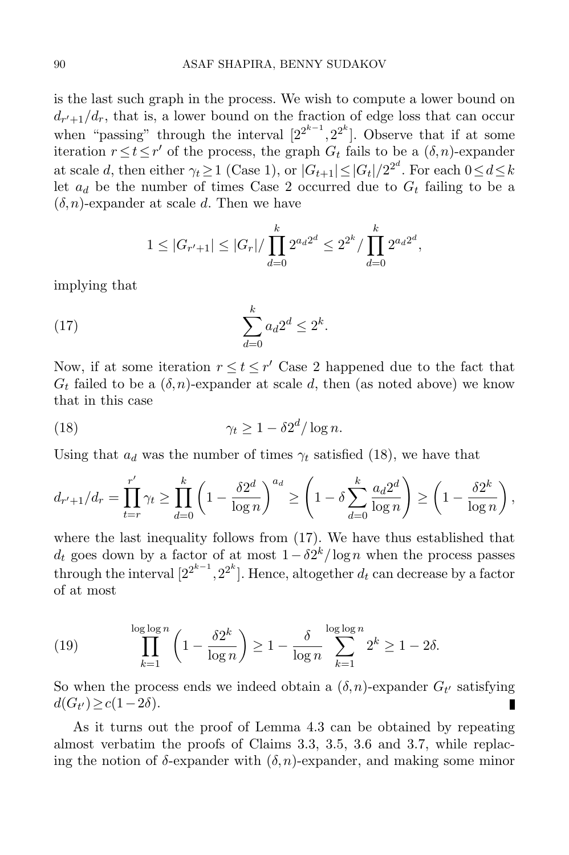is the last such graph in the process. We wish to compute a lower bound on  $d_{r'+1}/d_r$ , that is, a lower bound on the fraction of edge loss that can occur when "passing" through the interval  $[2^{2^{k-1}}, 2^{2^k}]$ . Observe that if at some iteration  $r \le t \le r'$  of the process, the graph  $G_t$  fails to be a  $(\delta, n)$ -expander at scale d, then either  $\gamma_t \ge 1$  (Case 1), or  $|G_{t+1}| \le |G_t|/2^{2^d}$ . For each  $0 \le d \le k$ let  $a_d$  be the number of times Case 2 occurred due to  $G_t$  failing to be a  $(\delta,n)$ -expander at scale d. Then we have

<span id="page-15-1"></span>
$$
1 \leq |G_{r'+1}| \leq |G_r| / \prod_{d=0}^k 2^{a_d 2^d} \leq 2^{2^k} / \prod_{d=0}^k 2^{a_d 2^d},
$$

implying that

$$
(17) \qquad \qquad \sum_{d=0}^k a_d 2^d \le 2^k.
$$

Now, if at some iteration  $r \le t \le r'$  Case 2 happened due to the fact that  $G_t$  failed to be a  $(\delta, n)$ -expander at scale d, then (as noted above) we know that in this case

<span id="page-15-0"></span>(18) 
$$
\gamma_t \ge 1 - \delta 2^d / \log n.
$$

Using that  $a_d$  was the number of times  $\gamma_t$  satisfied [\(18\)](#page-15-0), we have that

$$
d_{r'+1}/d_r = \prod_{t=r}^{r'} \gamma_t \ge \prod_{d=0}^k \left(1 - \frac{\delta 2^d}{\log n}\right)^{a_d} \ge \left(1 - \delta \sum_{d=0}^k \frac{a_d 2^d}{\log n}\right) \ge \left(1 - \frac{\delta 2^k}{\log n}\right),
$$

where the last inequality follows from [\(17\)](#page-15-1). We have thus established that  $d_t$  goes down by a factor of at most  $1 - \delta 2^k / \log n$  when the process passes through the interval  $[2^{2^{k-1}}, 2^{2^k}]$ . Hence, altogether  $d_t$  can decrease by a factor of at most

(19) 
$$
\prod_{k=1}^{\log \log n} \left(1 - \frac{\delta 2^k}{\log n}\right) \ge 1 - \frac{\delta}{\log n} \sum_{k=1}^{\log \log n} 2^k \ge 1 - 2\delta.
$$

So when the process ends we indeed obtain a  $(\delta, n)$ -expander  $G_{t'}$  satisfying  $d(G_{t'})\geq c(1-2\delta).$ П

As it turns out the proof of Lemma [4.3](#page-13-2) can be obtained by repeating almost verbatim the proofs of Claims [3.3,](#page-7-4) [3.5,](#page-8-1) [3.6](#page-9-2) and [3.7,](#page-10-1) while replacing the notion of  $\delta$ -expander with  $(\delta, n)$ -expander, and making some minor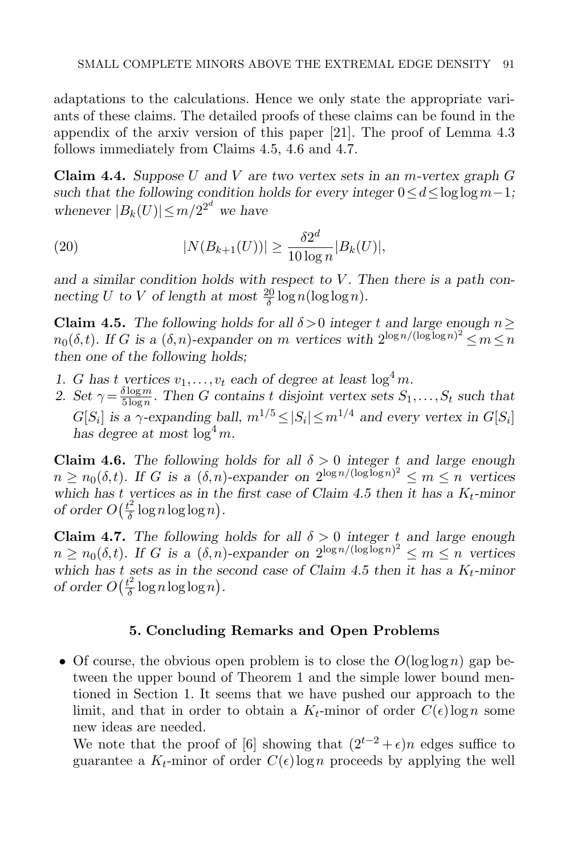adaptations to the calculations. Hence we only state the appropriate variants of these claims. The detailed proofs of these claims can be found in the appendix of the arxiv version of this paper [\[21\]](#page-18-19). The proof of Lemma [4.3](#page-13-2) follows immediately from Claims [4.5,](#page-16-1) [4.6](#page-16-2) and [4.7.](#page-16-3)

**Claim 4.4.** Suppose U and V are two vertex sets in an m-vertex graph  $G$ such that the following condition holds for every integer  $0 \le d \le \log \log m - 1$ ; whenever  $|B_k(U)| \le m/2^{2^d}$  we have

(20) 
$$
|N(B_{k+1}(U))| \ge \frac{\delta 2^d}{10 \log n} |B_k(U)|,
$$

and a similar condition holds with respect to  $V$ . Then there is a path connecting U to V of length at most  $\frac{20}{\delta} \log n(\log \log n)$ .

<span id="page-16-1"></span>Claim 4.5. The following holds for all  $\delta > 0$  integer t and large enough  $n \geq$  $n_0(\delta, t)$ . If G is a  $(\delta, n)$ -expander on m vertices with  $2^{\log n/(\log \log n)^2} \le m \le n$ then one of the following holds;

- 1. G has t vertices  $v_1, \ldots, v_t$  each of degree at least  $\log^4 m$ .
- 2. Set  $\gamma = \frac{\delta \log m}{5 \log n}$  $\frac{\partial \log m}{\partial \log n}$ . Then G contains t disjoint vertex sets  $S_1, \ldots, S_t$  such that  $G[S_i]$  is a  $\gamma$ -expanding ball,  $m^{1/5} \leq |S_i| \leq m^{1/4}$  and every vertex in  $G[S_i]$ has degree at most  $\log^4 m$ .

<span id="page-16-2"></span>Claim 4.6. The following holds for all  $\delta > 0$  integer t and large enough  $n \geq n_0(\delta, t)$ . If G is a  $(\delta, n)$ -expander on  $2^{\log n/(\log \log n)^2} \leq m \leq n$  vertices which has t vertices as in the first case of Claim [4.5](#page-16-1) then it has a  $K_t$ -minor of order  $O(\frac{t^2}{\delta})$  $\frac{t^2}{\delta} \log n \log \log n$ .

<span id="page-16-3"></span>Claim 4.7. The following holds for all  $\delta > 0$  integer t and large enough  $n \geq n_0(\delta, t)$ . If G is a  $(\delta, n)$ -expander on  $2^{\log n/(\log \log n)^2} \leq m \leq n$  vertices which has t sets as in the second case of Claim [4.5](#page-16-1) then it has a  $K_t$ -minor of order  $O(\frac{t^2}{\delta})$  $\frac{t^2}{\delta} \log n \log \log n$ .

## 5. Concluding Remarks and Open Problems

<span id="page-16-0"></span>• Of course, the obvious open problem is to close the  $O(\log \log n)$  gap between the upper bound of Theorem [1](#page-1-0) and the simple lower bound mentioned in Section [1.](#page-0-0) It seems that we have pushed our approach to the limit, and that in order to obtain a  $K_t$ -minor of order  $C(\epsilon) \log n$  some new ideas are needed.

We note that the proof of [\[6\]](#page-18-5) showing that  $(2^{t-2} + \epsilon)n$  edges suffice to guarantee a  $K_t$ -minor of order  $C(\epsilon)$ logn proceeds by applying the well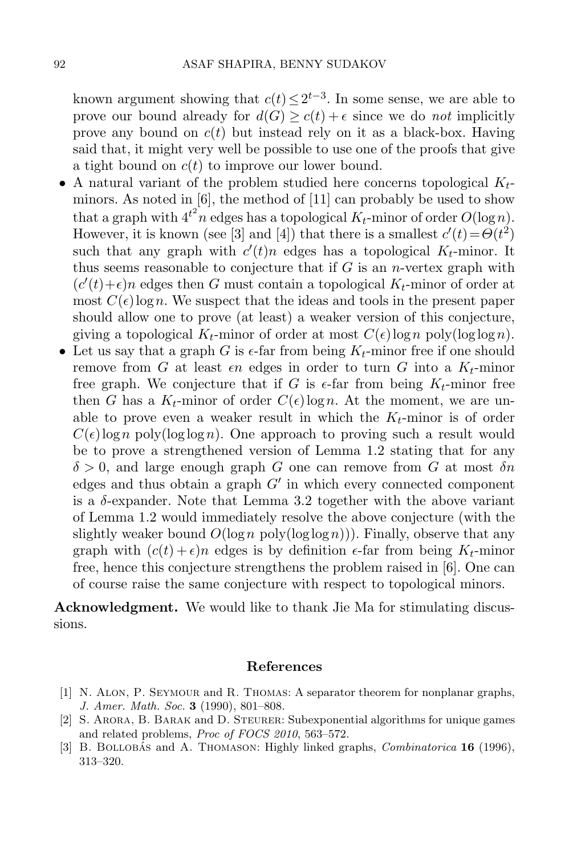known argument showing that  $c(t) \leq 2^{t-3}$ . In some sense, we are able to prove our bound already for  $d(G) \geq c(t) + \epsilon$  since we do not implicitly prove any bound on  $c(t)$  but instead rely on it as a black-box. Having said that, it might very well be possible to use one of the proofs that give a tight bound on  $c(t)$  to improve our lower bound.

- A natural variant of the problem studied here concerns topological  $K_t$ minors. As noted in [\[6\]](#page-18-5), the method of [\[11\]](#page-18-8) can probably be used to show that a graph with  $4^{t^2}n$  edges has a topological  $K_t$ -minor of order  $O(\log n)$ . However, it is known (see [\[3\]](#page-17-2) and [\[4\]](#page-18-18)) that there is a smallest  $c'(t) = \Theta(t^2)$ such that any graph with  $c'(t)n$  edges has a topological  $K_t$ -minor. It thus seems reasonable to conjecture that if  $G$  is an *n*-vertex graph with  $(c'(t) + \epsilon)n$  edges then G must contain a topological  $K_t$ -minor of order at most  $C(\epsilon) \log n$ . We suspect that the ideas and tools in the present paper should allow one to prove (at least) a weaker version of this conjecture, giving a topological  $K_t$ -minor of order at most  $C(\epsilon) \log n$  poly $(\log \log n)$ .
- Let us say that a graph G is  $\epsilon$ -far from being  $K_t$ -minor free if one should remove from G at least  $\epsilon n$  edges in order to turn G into a  $K_t$ -minor free graph. We conjecture that if G is  $\epsilon$ -far from being  $K_t$ -minor free then G has a  $K_t$ -minor of order  $C(\epsilon) \log n$ . At the moment, we are unable to prove even a weaker result in which the  $K_t$ -minor is of order  $C(\epsilon)$ logn poly(loglogn). One approach to proving such a result would be to prove a strengthened version of Lemma [1.2](#page-3-0) stating that for any  $\delta > 0$ , and large enough graph G one can remove from G at most  $\delta n$ edges and thus obtain a graph  $G'$  in which every connected component is a  $\delta$ -expander. Note that Lemma [3.2](#page-7-0) together with the above variant of Lemma [1.2](#page-3-0) would immediately resolve the above conjecture (with the slightly weaker bound  $O(\log n \text{ poly}(\log \log n))$ . Finally, observe that any graph with  $(c(t) + \epsilon)n$  edges is by definition  $\epsilon$ -far from being  $K_t$ -minor free, hence this conjecture strengthens the problem raised in [\[6\]](#page-18-5). One can of course raise the same conjecture with respect to topological minors.

Acknowledgment. We would like to thank Jie Ma for stimulating discussions.

## References

- <span id="page-17-1"></span>[1] N. Alon, P. Seymour and R. Thomas: A separator theorem for nonplanar graphs, J. Amer. Math. Soc. 3 (1990), 801–808.
- <span id="page-17-0"></span>[2] S. Arora, B. Barak and D. Steurer: Subexponential algorithms for unique games and related problems, Proc of FOCS 2010, 563–572.
- <span id="page-17-2"></span>[3] B. BOLLOBÁS and A. THOMASON: Highly linked graphs,  $Combinatorica$  **16** (1996), 313–320.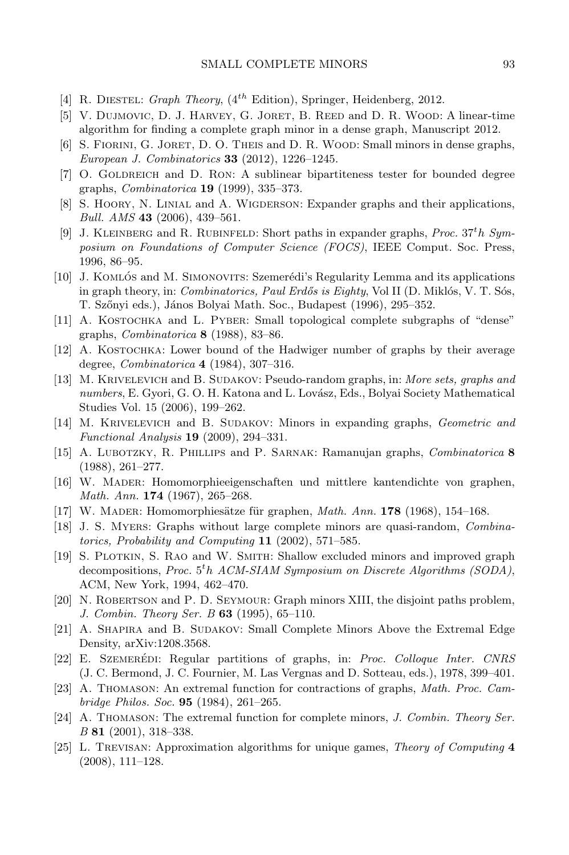- <span id="page-18-18"></span>[4] R. DIESTEL: Graph Theory,  $(4^{th}$  Edition), Springer, Heidenberg, 2012.
- [5] V. Dujmovic, D. J. Harvey, G. Joret, B. Reed and D. R. Wood: A linear-time algorithm for finding a complete graph minor in a dense graph, Manuscript 2012.
- <span id="page-18-5"></span>[6] S. Fiorini, G. Joret, D. O. Theis and D. R. Wood: Small minors in dense graphs, European J. Combinatorics 33 (2012), 1226–1245.
- <span id="page-18-11"></span>[7] O. GOLDREICH and D. RON: A sublinear bipartiteness tester for bounded degree graphs, Combinatorica 19 (1999), 335–373.
- <span id="page-18-13"></span>[8] S. HOORY, N. LINIAL and A. WIGDERSON: Expander graphs and their applications, Bull. AMS 43 (2006), 439-561.
- <span id="page-18-16"></span>[9] J. KLEINBERG and R. RUBINFELD: Short paths in expander graphs, *Proc.*  $37<sup>t</sup>h$  Symposium on Foundations of Computer Science (FOCS), IEEE Comput. Soc. Press, 1996, 86–95.
- <span id="page-18-10"></span>[10] J. KOMLÓS and M. SIMONOVITS: Szemerédi's Regularity Lemma and its applications in graph theory, in: Combinatorics, Paul Erdős is Eighty, Vol II (D. Miklós, V. T. Sós, T. Szőnyi eds.), János Bolyai Math. Soc., Budapest (1996), 295–352.
- <span id="page-18-8"></span>[11] A. Kostochka and L. Pyber: Small topological complete subgraphs of "dense" graphs, Combinatorica 8 (1988), 83–86.
- <span id="page-18-2"></span>[12] A. Kostochka: Lower bound of the Hadwiger number of graphs by their average degree, Combinatorica 4 (1984), 307–316.
- <span id="page-18-14"></span>[13] M. KRIVELEVICH and B. SUDAKOV: Pseudo-random graphs, in: More sets, graphs and numbers, E. Gyori, G. O. H. Katona and L. Lovász, Eds., Bolyai Society Mathematical Studies Vol. 15 (2006), 199–262.
- <span id="page-18-17"></span>[14] M. KRIVELEVICH and B. SUDAKOV: Minors in expanding graphs, Geometric and Functional Analysis 19 (2009), 294–331.
- <span id="page-18-6"></span>[15] A. LUBOTZKY, R. PHILLIPS and P. SARNAK: Ramanujan graphs, *Combinatorica* 8 (1988), 261–277.
- <span id="page-18-0"></span>[16] W. Mader: Homomorphieeigenschaften und mittlere kantendichte von graphen, Math. Ann. **174** (1967), 265-268.
- <span id="page-18-1"></span>[17] W. MADER: Homomorphiesätze für graphen, *Math. Ann.* 178 (1968), 154–168.
- <span id="page-18-7"></span>[18] J. S. Myers: Graphs without large complete minors are quasi-random, Combinatorics, Probability and Computing  $11$  (2002), 571–585.
- <span id="page-18-15"></span>[19] S. Plotkin, S. Rao and W. Smith: Shallow excluded minors and improved graph decompositions, Proc.  $5<sup>t</sup>h$  ACM-SIAM Symposium on Discrete Algorithms (SODA), ACM, New York, 1994, 462–470.
- [20] N. ROBERTSON and P. D. SEYMOUR: Graph minors XIII, the disjoint paths problem, J. Combin. Theory Ser. B 63 (1995), 65–110.
- <span id="page-18-19"></span>[21] A. Shapira and B. Sudakov: Small Complete Minors Above the Extremal Edge Density, [arXiv:1208.3568.](http://arxiv.org/abs/1208.3568)
- <span id="page-18-9"></span>[22] E. SZEMERÉDI: Regular partitions of graphs, in: Proc. Colloque Inter. CNRS (J. C. Bermond, J. C. Fournier, M. Las Vergnas and D. Sotteau, eds.), 1978, 399–401.
- <span id="page-18-3"></span>[23] A. Thomason: An extremal function for contractions of graphs, Math. Proc. Cambridge Philos. Soc. 95 (1984), 261–265.
- <span id="page-18-4"></span>[24] A. Thomason: The extremal function for complete minors, J. Combin. Theory Ser. B 81 (2001), 318–338.
- <span id="page-18-12"></span>[25] L. Trevisan: Approximation algorithms for unique games, Theory of Computing 4 (2008), 111–128.